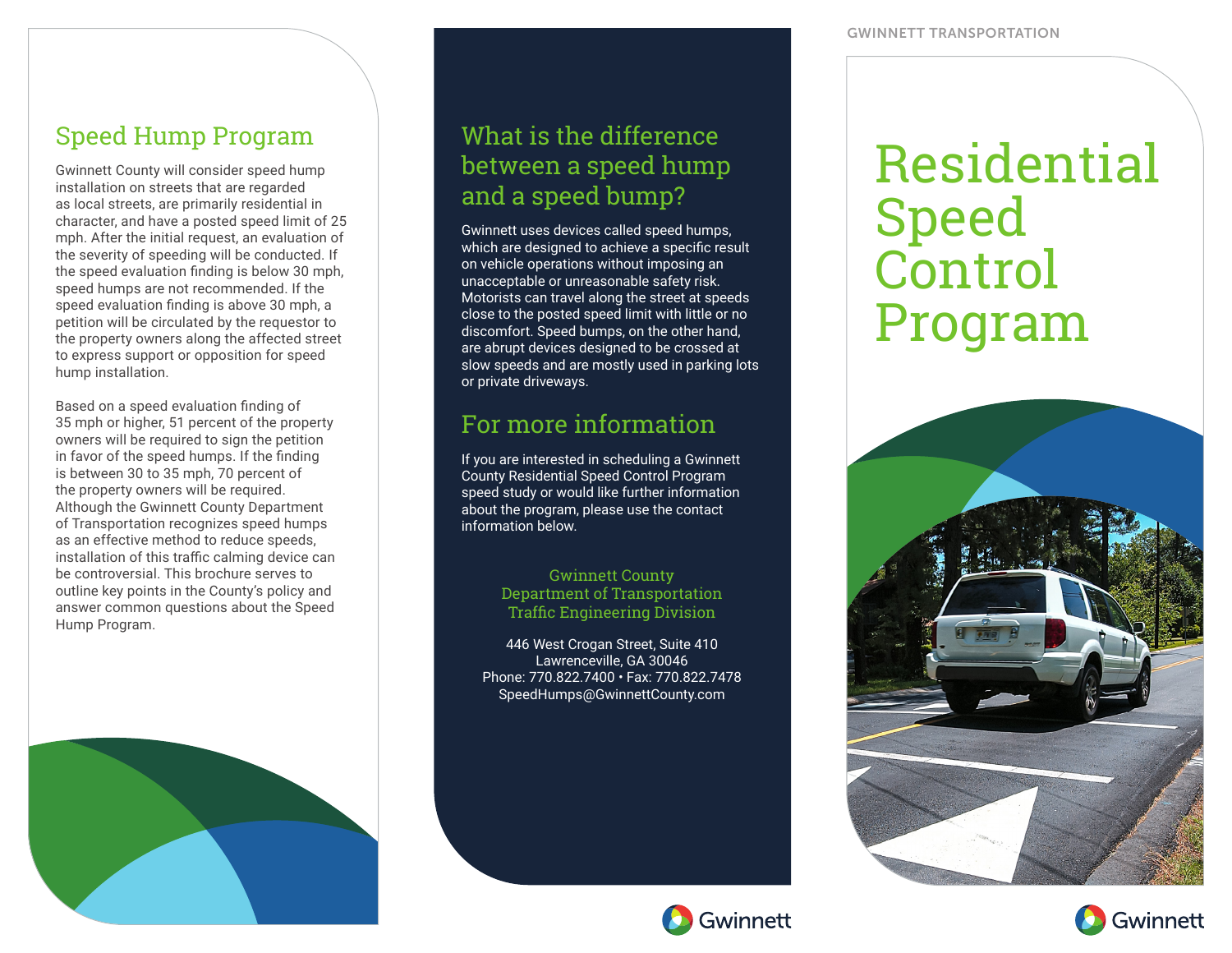#### Speed Hump Program

Gwinnett County will consider speed hump installation on streets that are regarded as local streets, are primarily residential in character, and have a posted speed limit of 25 mph. After the initial request, an evaluation of the severity of speeding will be conducted. If the speed evaluation finding is below 30 mph, speed humps are not recommended. If the speed evaluation finding is above 30 mph, a petition will be circulated by the requestor to the property owners along the affected street to express support or opposition for speed hump installation.

Based on a speed evaluation finding of 35 mph or higher, 51 percent of the property owners will be required to sign the petition in favor of the speed humps. If the finding is between 30 to 35 mph, 70 percent of the property owners will be required. Although the Gwinnett County Department of Transportation recognizes speed humps as an effective method to reduce speeds, installation of this traffic calming device can be controversial. This brochure serves to outline key points in the County's policy and answer common questions about the Speed Hump Program.



## What is the difference between a speed hump and a speed bump?

Gwinnett uses devices called speed humps, which are designed to achieve a specific result on vehicle operations without imposing an unacceptable or unreasonable safety risk. Motorists can travel along the street at speeds close to the posted speed limit with little or no discomfort. Speed bumps, on the other hand, are abrupt devices designed to be crossed at slow speeds and are mostly used in parking lots or private driveways.

#### For more information

If you are interested in scheduling a Gwinnett County Residential Speed Control Program speed study or would like further information about the program, please use the contact information below.

> Gwinnett County Department of Transportation Traffic Engineering Division

446 West Crogan Street, Suite 410 Lawrenceville, GA 30046 Phone: 770.822.7400 • Fax: 770.822.7478 SpeedHumps@GwinnettCounty.com





Gwinnett